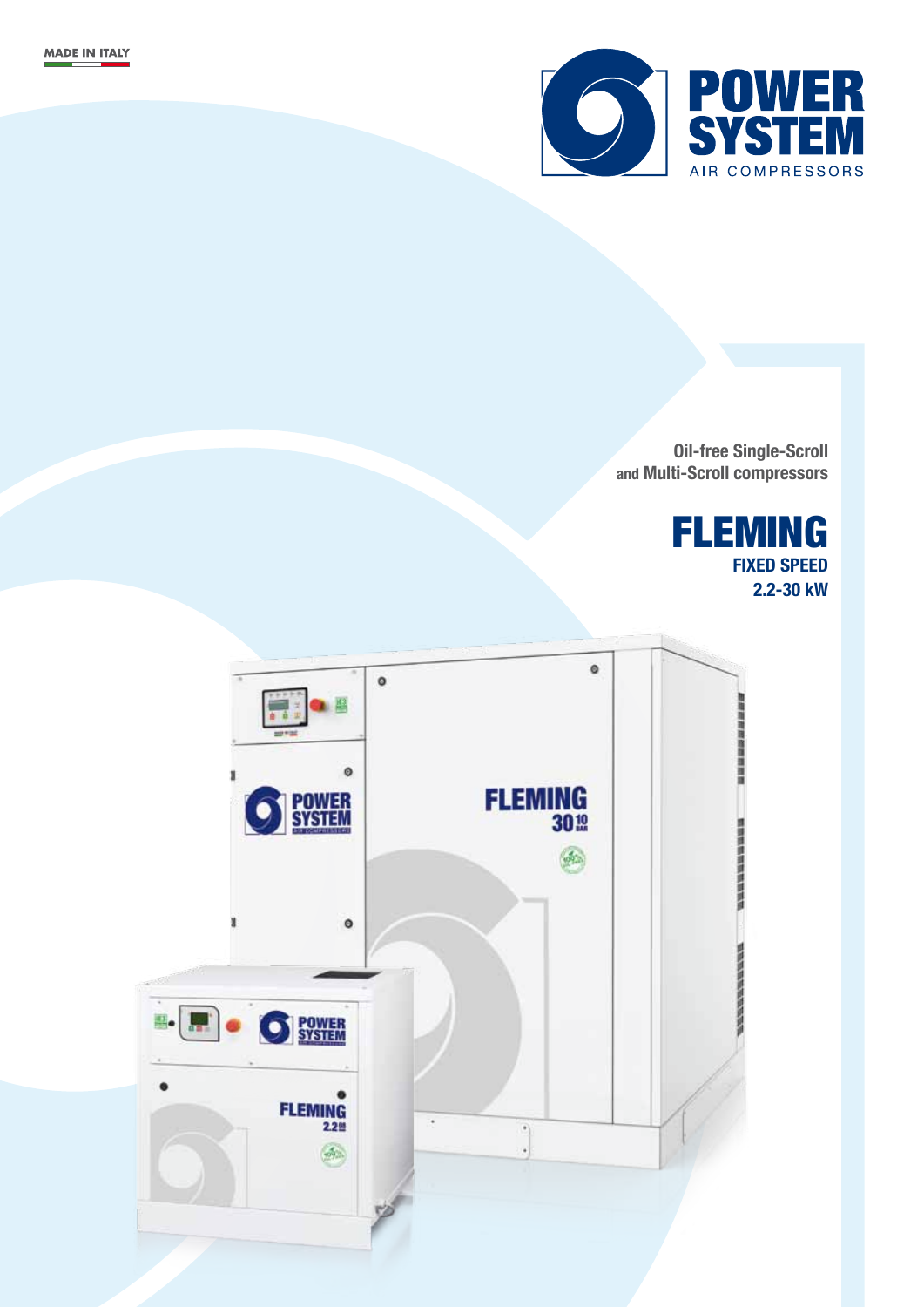

**Oil-free Single-Scroll and Multi-Scroll compressors**

> FLEMING **FIXED SPEED 2.2-30 kW**

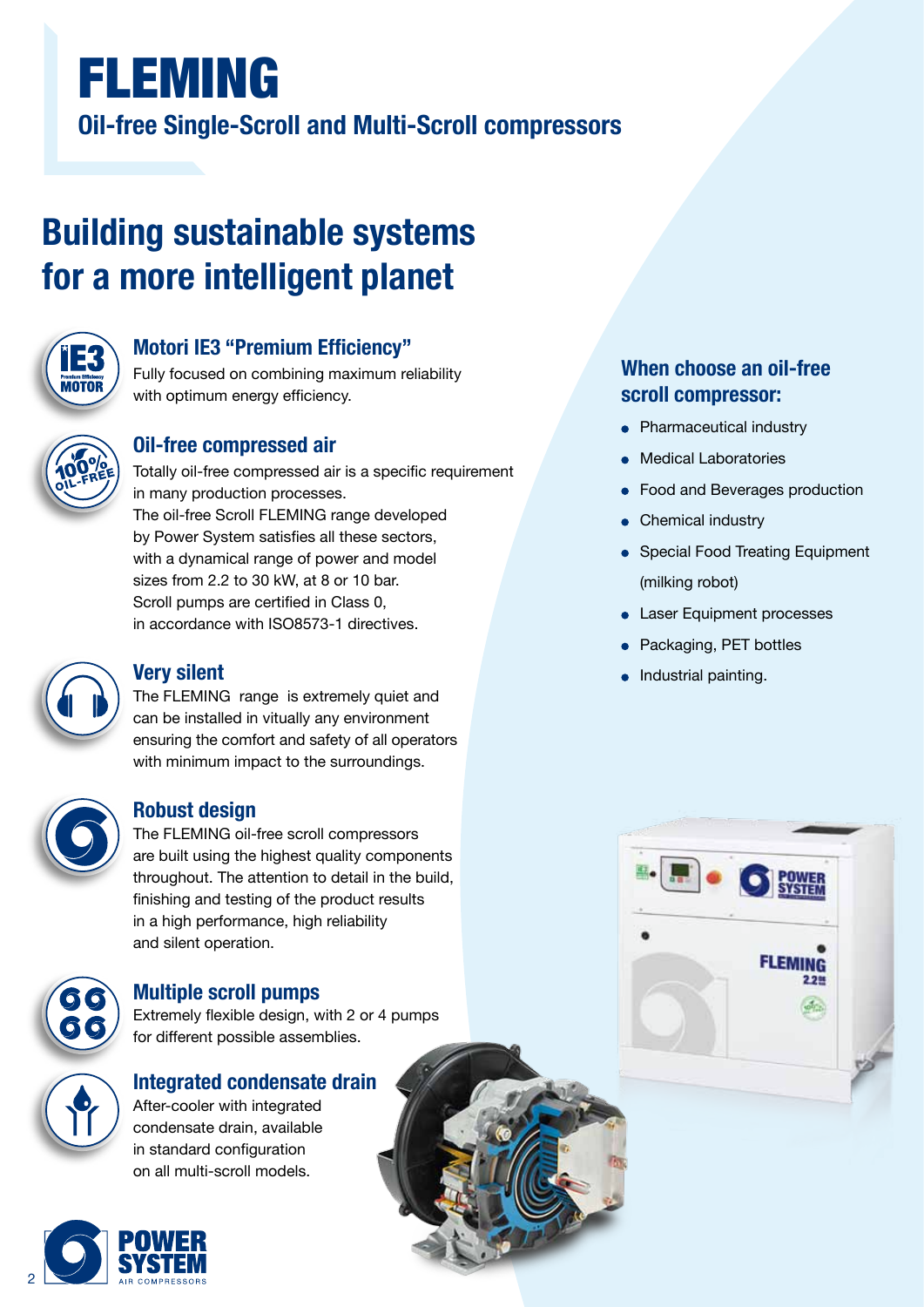# FLEMING **Oil-free Single-Scroll and Multi-Scroll compressors**

# **Building sustainable systems for a more intelligent planet**



### **Motori IE3 "Premium Efficiency"**

Fully focused on combining maximum reliability with optimum energy efficiency.



#### **Oil-free compressed air**

Totally oil-free compressed air is a specific requirement in many production processes. The oil-free Scroll FLEMING range developed by Power System satisfies all these sectors, with a dynamical range of power and model sizes from 2.2 to 30 kW, at 8 or 10 bar. Scroll pumps are certified in Class 0, in accordance with ISO8573-1 directives.



### **Very silent**

The FLEMING range is extremely quiet and can be installed in vitually any environment ensuring the comfort and safety of all operators with minimum impact to the surroundings.

### **Robust design**

The FLEMING oil-free scroll compressors are built using the highest quality components throughout. The attention to detail in the build, finishing and testing of the product results in a high performance, high reliability and silent operation.



### **Multiple scroll pumps**

Extremely flexible design, with 2 or 4 pumps for different possible assemblies.



## **Integrated condensate drain** After-cooler with integrated

condensate drain, available in standard configuration on all multi-scroll models.



### **When choose an oil-free scroll compressor:**

- Pharmaceutical industry
- Medical Laboratories
- Food and Beverages production
- Chemical industry
- Special Food Treating Equipment (milking robot)
- Laser Equipment processes
- Packaging, PET bottles
- Industrial painting.

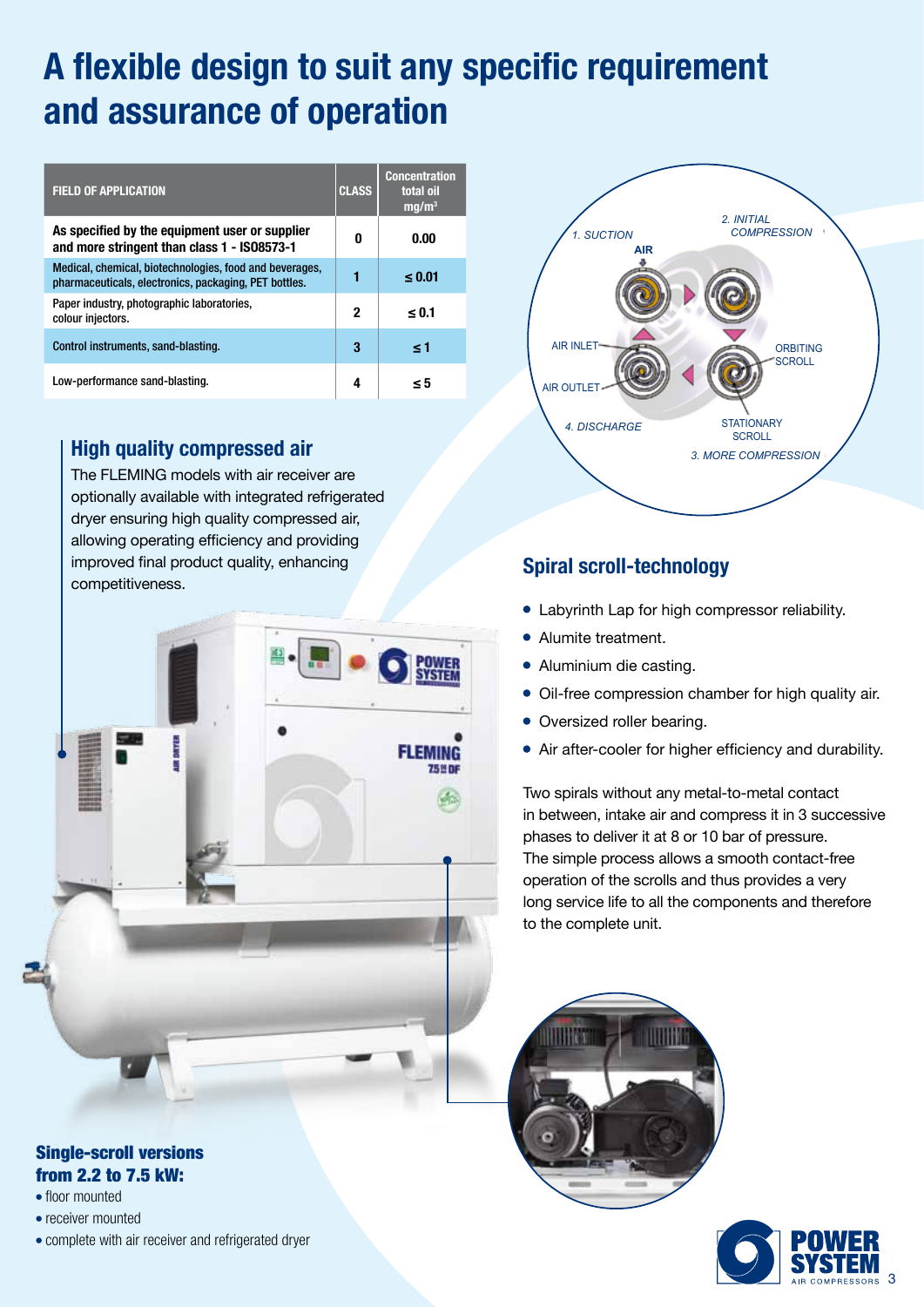# **A flexible design to suit any specific requirement and assurance of operation**

| <b>FIELD OF APPLICATION</b>                                                                                      | <b>CLASS</b> | <b>Concentration</b><br>total oil<br>mq/m <sup>3</sup> |
|------------------------------------------------------------------------------------------------------------------|--------------|--------------------------------------------------------|
| As specified by the equipment user or supplier<br>and more stringent than class 1 - IS08573-1                    | 0            | 0.00                                                   |
| Medical, chemical, biotechnologies, food and beverages,<br>pharmaceuticals, electronics, packaging, PET bottles. |              | $\leq 0.01$                                            |
| Paper industry, photographic laboratories,<br>colour injectors.                                                  | $\mathbf 2$  | < 0.1                                                  |
| Control instruments, sand-blasting.                                                                              | 3            | ≤1                                                     |
| Low-performance sand-blasting.                                                                                   | 4            | - 5                                                    |

### **High quality compressed air**

The FLEMING models with air receiver are optionally available with integrated refrigerated dryer ensuring high quality compressed air, allowing operating efficiency and providing improved final product quality, enhancing competitiveness.



#### Single-scroll versions from 2.2 to 7.5 kW:

- floor mounted
- receiver mounted
- complete with air receiver and refrigerated dryer



### **Spiral scroll-technology**

- Labyrinth Lap for high compressor reliability.
- Alumite treatment.
- Aluminium die casting.
- Oil-free compression chamber for high quality air.
- Oversized roller bearing.
- Air after-cooler for higher efficiency and durability.

Two spirals without any metal-to-metal contact in between, intake air and compress it in 3 successive phases to deliver it at 8 or 10 bar of pressure. The simple process allows a smooth contact-free operation of the scrolls and thus provides a very long service life to all the components and therefore to the complete unit.



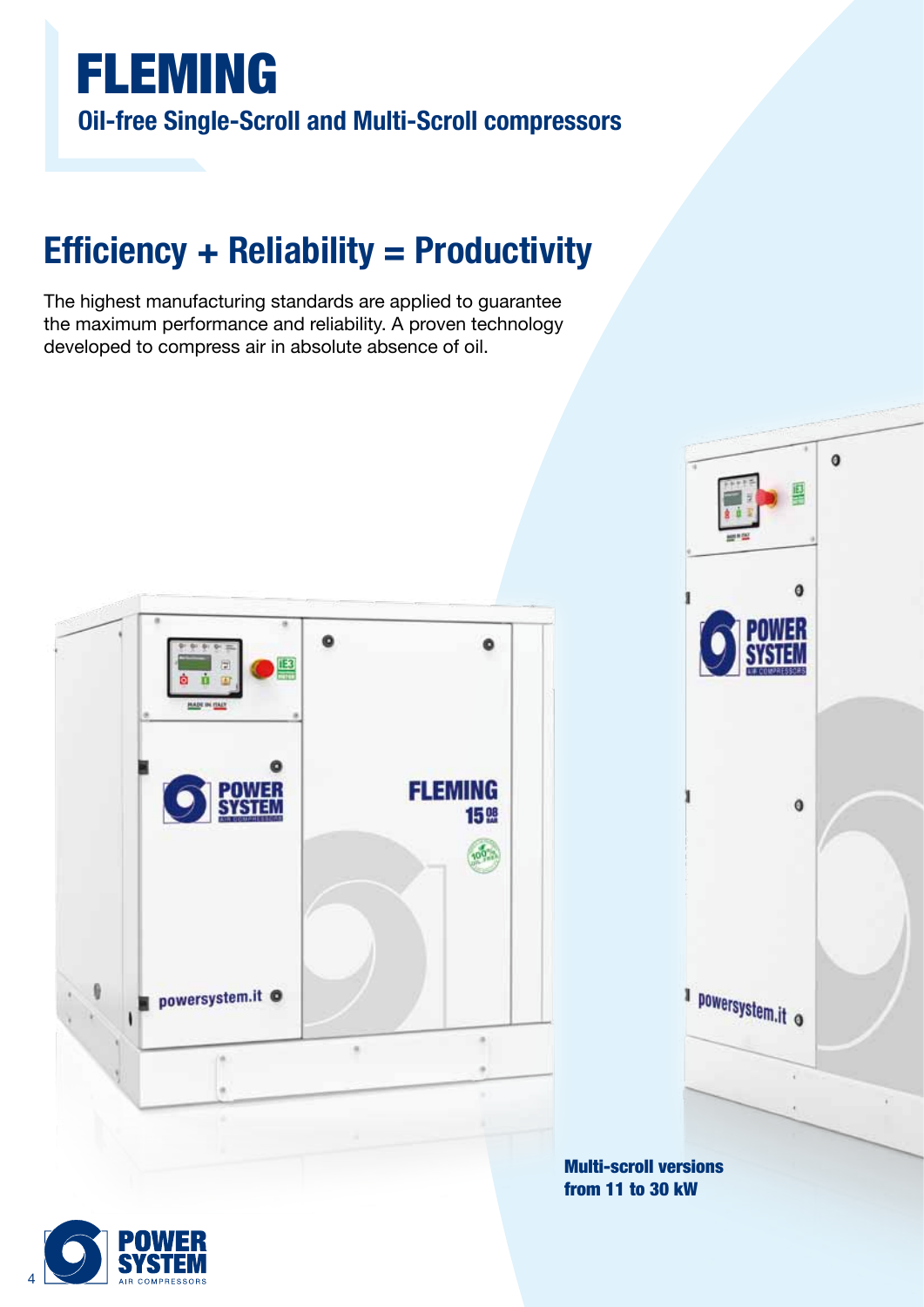

# **Efficiency + Reliability = Productivity**

The highest manufacturing standards are applied to guarantee the maximum performance and reliability. A proven technology developed to compress air in absolute absence of oil.







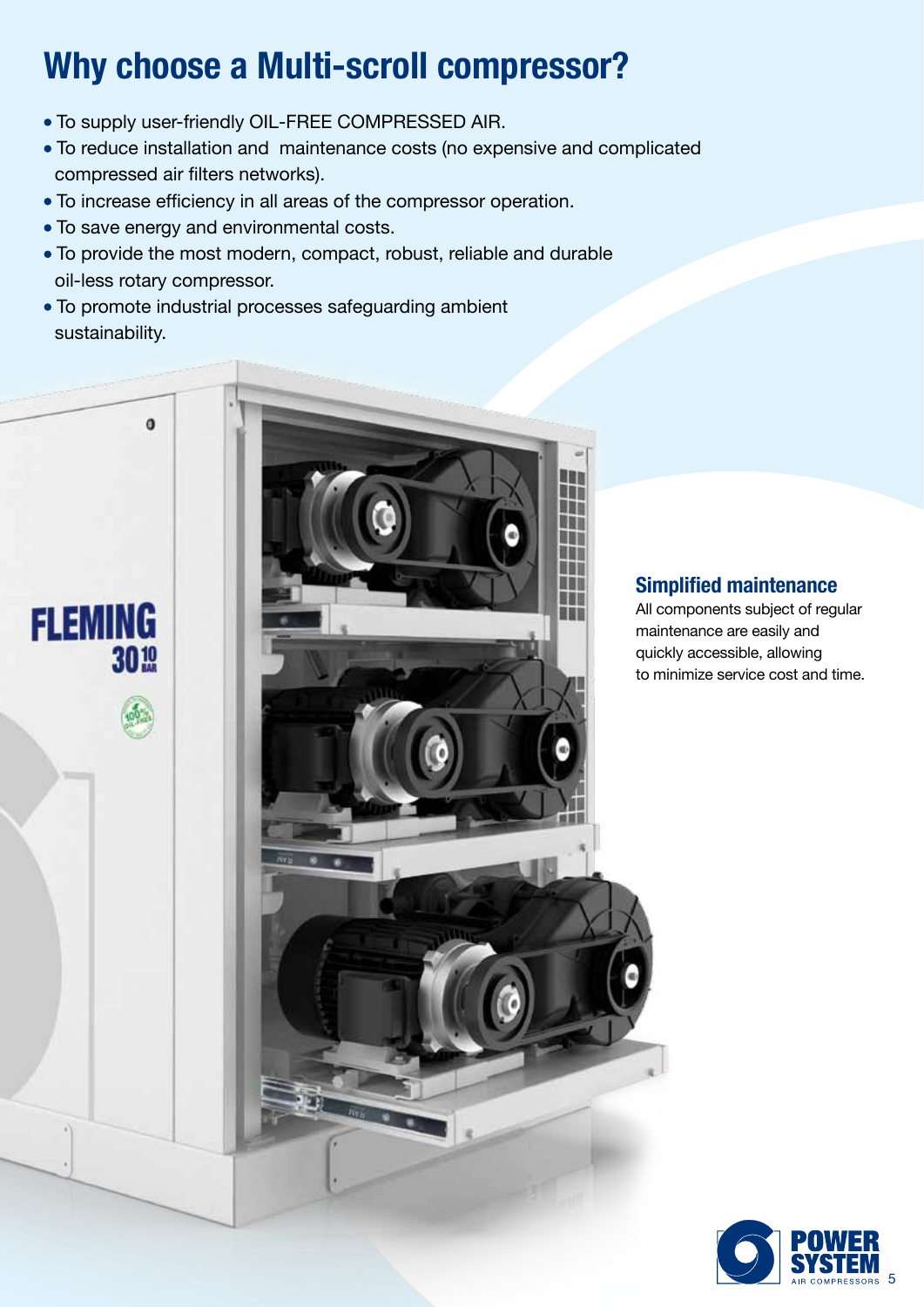# **Why choose a Multi-scroll compressor?**

- To supply user-friendly OIL-FREE COMPRESSED AIR.
- To reduce installation and maintenance costs (no expensive and complicated compressed air filters networks).
- To increase efficiency in all areas of the compressor operation.
- To save energy and environmental costs.

 $\ddot{\mathbf{0}}$ 

**FLEMING** 

3010

- To provide the most modern, compact, robust, reliable and durable oil-less rotary compressor.
- To promote industrial processes safeguarding ambient sustainability.



#### **Simplified maintenance**

All components subject of regular maintenance are easily and quickly accessible, allowing to minimize service cost and time.

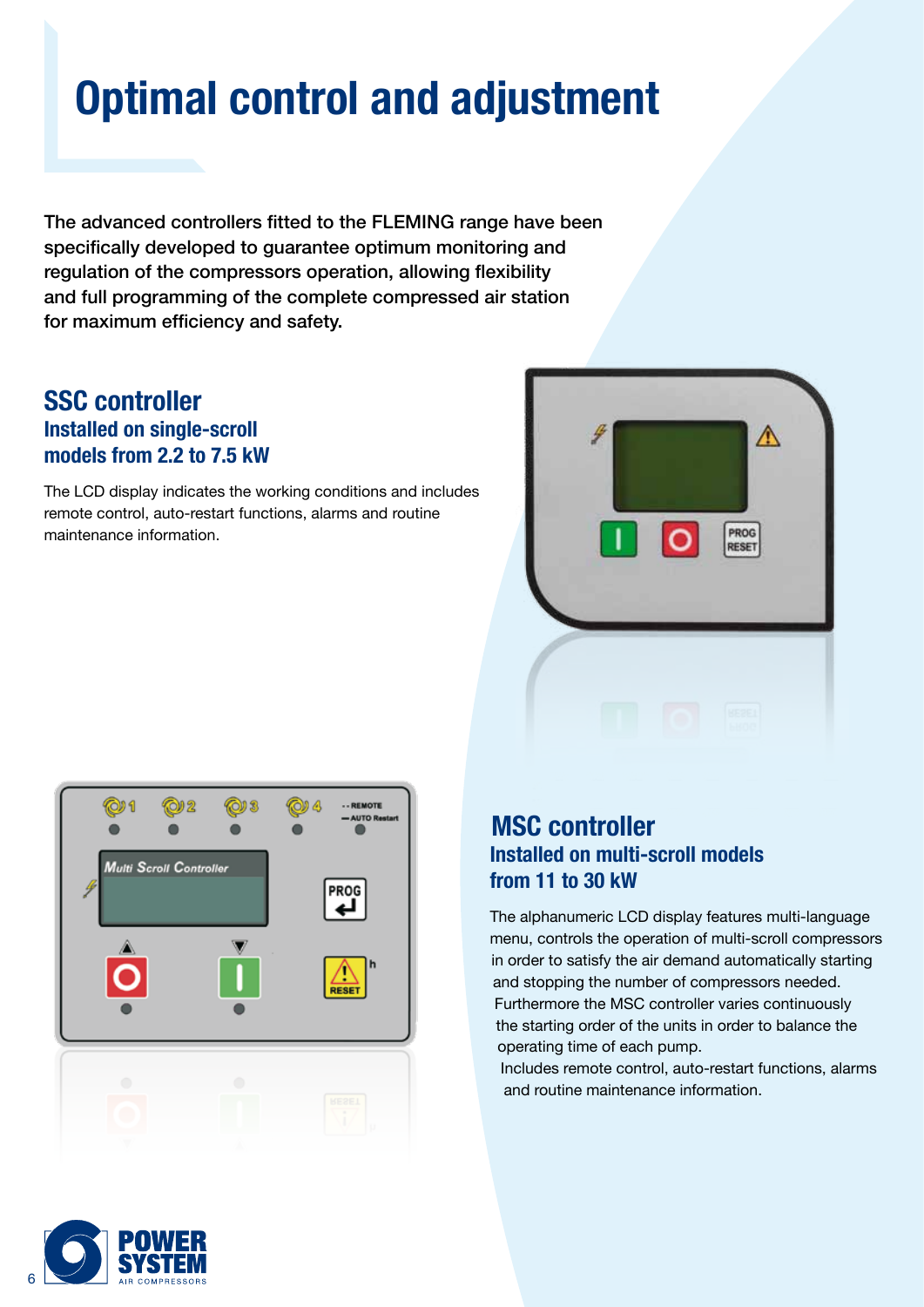# **Optimal control and adjustment**

The advanced controllers fitted to the FLEMING range have been specifically developed to guarantee optimum monitoring and regulation of the compressors operation, allowing flexibility and full programming of the complete compressed air station for maximum efficiency and safety.

### **SSC controller Installed on single-scroll models from 2.2 to 7.5 kW**

The LCD display indicates the working conditions and includes remote control, auto-restart functions, alarms and routine maintenance information.





### **MSC controller Installed on multi-scroll models from 11 to 30 kW**

The alphanumeric LCD display features multi-language menu, controls the operation of multi-scroll compressors in order to satisfy the air demand automatically starting and stopping the number of compressors needed. Furthermore the MSC controller varies continuously the starting order of the units in order to balance the operating time of each pump.

Includes remote control, auto-restart functions, alarms and routine maintenance information.

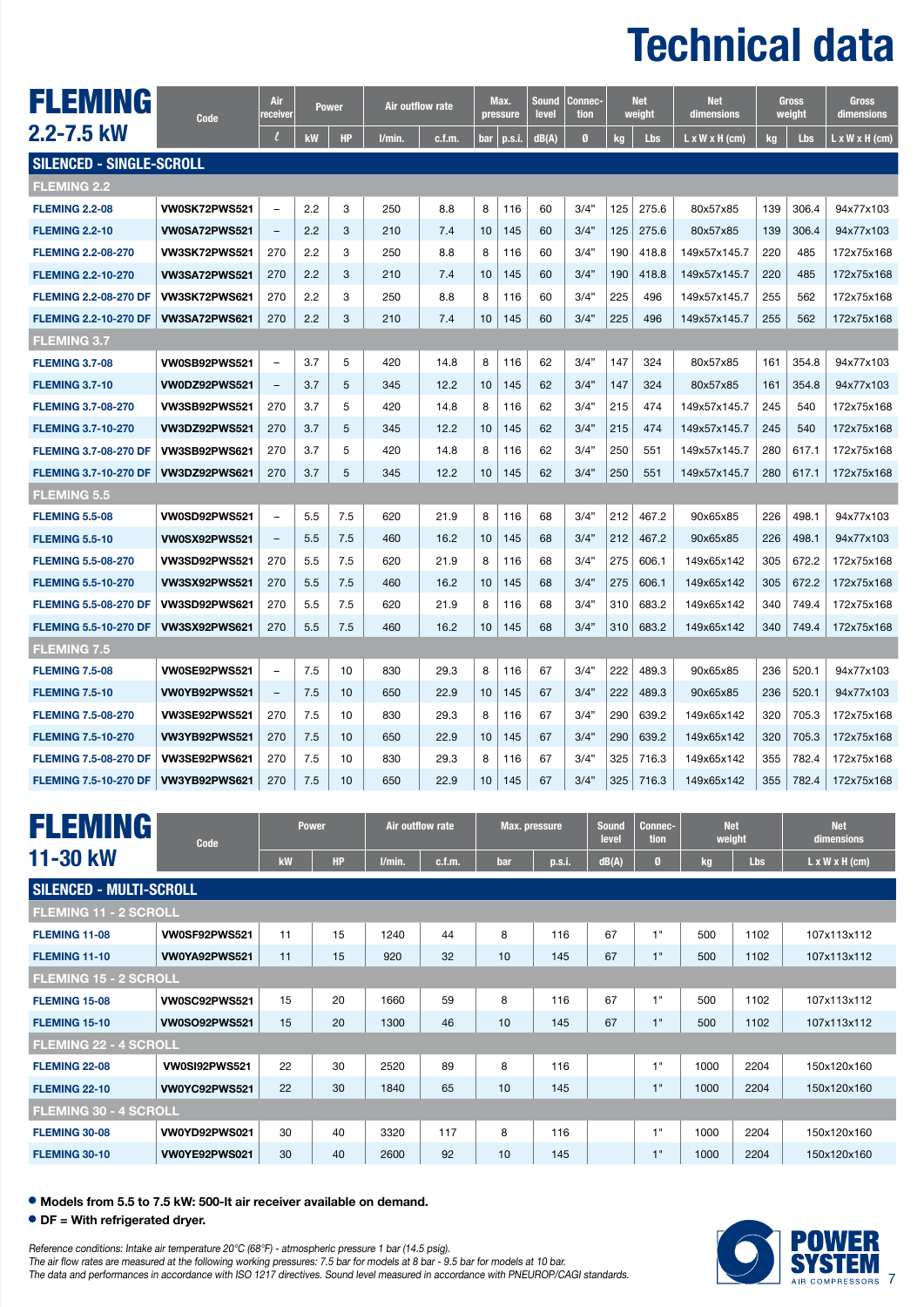# **Technical data**

| FLEMING                      | Code                 | Air<br>receiver          |     | <b>Power</b> | Air outflow rate |        |     | Max.<br>pressure | Sound<br>level | Connec-<br>tion  | <b>Net</b><br>weight |       | <b>Net</b><br>dimensions   | Gross<br>weight |       | Gross<br>dimensions |
|------------------------------|----------------------|--------------------------|-----|--------------|------------------|--------|-----|------------------|----------------|------------------|----------------------|-------|----------------------------|-----------------|-------|---------------------|
| 2.2-7.5 kW                   |                      | l                        | kW  | <b>HP</b>    | l/min.           | c.f.m. | bar | p.s.             | dB(A)          | $\boldsymbol{a}$ | Lbs<br>kg            |       | $L \times W \times H$ (cm) | kg              | Lbs   | L x W x H (cm)      |
| SILENCED - SINGLE-SCROLL     |                      |                          |     |              |                  |        |     |                  |                |                  |                      |       |                            |                 |       |                     |
| <b>FLEMING 2.2</b>           |                      |                          |     |              |                  |        |     |                  |                |                  |                      |       |                            |                 |       |                     |
| <b>FLEMING 2.2-08</b>        | VW0SK72PWS521        | $\equiv$                 | 2.2 | 3            | 250              | 8.8    | 8   | 116              | 60             | 3/4"             | 125                  | 275.6 | 80x57x85                   | 139             | 306.4 | 94x77x103           |
| <b>FLEMING 2.2-10</b>        | <b>VW0SA72PWS521</b> | $\overline{\phantom{a}}$ | 2.2 | 3            | 210              | 7.4    | 10  | 145              | 60             | 3/4"             | 125                  | 275.6 | 80x57x85                   | 139             | 306.4 | 94x77x103           |
| <b>FLEMING 2.2-08-270</b>    | <b>VW3SK72PWS521</b> | 270                      | 2.2 | 3            | 250              | 8.8    | 8   | 116              | 60             | 3/4"             | 190                  | 418.8 | 149x57x145.7               | 220             | 485   | 172x75x168          |
| <b>FLEMING 2.2-10-270</b>    | <b>VW3SA72PWS521</b> | 270                      | 2.2 | 3            | 210              | 7.4    | 10  | 145              | 60             | 3/4"             | 190                  | 418.8 | 149x57x145.7               | 220             | 485   | 172x75x168          |
| <b>FLEMING 2.2-08-270 DF</b> | VW3SK72PWS621        | 270                      | 2.2 | 3            | 250              | 8.8    | 8   | 116              | 60             | 3/4"             | 225                  | 496   | 149x57x145.7               | 255             | 562   | 172x75x168          |
| <b>FLEMING 2.2-10-270 DF</b> | <b>VW3SA72PWS621</b> | 270                      | 2.2 | 3            | 210              | 7.4    | 10  | 145              | 60             | 3/4"             | 225                  | 496   | 149x57x145.7               | 255             | 562   | 172x75x168          |
| <b>FLEMING 3.7</b>           |                      |                          |     |              |                  |        |     |                  |                |                  |                      |       |                            |                 |       |                     |
| <b>FLEMING 3.7-08</b>        | <b>VW0SB92PWS521</b> | $\overline{\phantom{a}}$ | 3.7 | 5            | 420              | 14.8   | 8   | 116              | 62             | 3/4"             | 147                  | 324   | 80x57x85                   | 161             | 354.8 | 94x77x103           |
| <b>FLEMING 3.7-10</b>        | <b>VW0DZ92PWS521</b> | $\qquad \qquad -$        | 3.7 | 5            | 345              | 12.2   | 10  | 145              | 62             | 3/4"             | 147                  | 324   | 80x57x85                   | 161             | 354.8 | 94x77x103           |
| <b>FLEMING 3.7-08-270</b>    | <b>VW3SB92PWS521</b> | 270                      | 3.7 | 5            | 420              | 14.8   | 8   | 116              | 62             | 3/4"             | 215                  | 474   | 149x57x145.7               | 245             | 540   | 172x75x168          |
| <b>FLEMING 3.7-10-270</b>    | <b>VW3DZ92PWS521</b> | 270                      | 3.7 | 5            | 345              | 12.2   | 10  | 145              | 62             | 3/4"             | 215                  | 474   | 149x57x145.7               | 245             | 540   | 172x75x168          |
| <b>FLEMING 3.7-08-270 DF</b> | <b>VW3SB92PWS621</b> | 270                      | 3.7 | 5            | 420              | 14.8   | 8   | 116              | 62             | 3/4"             | 250                  | 551   | 149x57x145.7               | 280             | 617.1 | 172x75x168          |
| <b>FLEMING 3.7-10-270 DF</b> | <b>VW3DZ92PWS621</b> | 270                      | 3.7 | 5            | 345              | 12.2   | 10  | 145              | 62             | 3/4"             | 250                  | 551   | 149x57x145.7               | 280             | 617.1 | 172x75x168          |
| <b>FLEMING 5.5</b>           |                      |                          |     |              |                  |        |     |                  |                |                  |                      |       |                            |                 |       |                     |
| <b>FLEMING 5.5-08</b>        | <b>VW0SD92PWS521</b> | $\overline{\phantom{a}}$ | 5.5 | 7.5          | 620              | 21.9   | 8   | 116              | 68             | 3/4"             | 212                  | 467.2 | 90x65x85                   | 226             | 498.1 | 94x77x103           |
| <b>FLEMING 5.5-10</b>        | <b>VW0SX92PWS521</b> | $\overline{\phantom{a}}$ | 5.5 | 7.5          | 460              | 16.2   | 10  | 145              | 68             | 3/4"             | 212                  | 467.2 | 90x65x85                   | 226             | 498.1 | 94x77x103           |
| <b>FLEMING 5.5-08-270</b>    | <b>VW3SD92PWS521</b> | 270                      | 5.5 | 7.5          | 620              | 21.9   | 8   | 116              | 68             | 3/4"             | 275                  | 606.1 | 149x65x142                 | 305             | 672.2 | 172x75x168          |
| <b>FLEMING 5.5-10-270</b>    | <b>VW3SX92PWS521</b> | 270                      | 5.5 | 7.5          | 460              | 16.2   | 10  | 145              | 68             | 3/4"             | 275                  | 606.1 | 149x65x142                 | 305             | 672.2 | 172x75x168          |
| <b>FLEMING 5.5-08-270 DF</b> | <b>VW3SD92PWS621</b> | 270                      | 5.5 | 7.5          | 620              | 21.9   | 8   | 116              | 68             | 3/4"             | 310                  | 683.2 | 149x65x142                 | 340             | 749.4 | 172x75x168          |
| <b>FLEMING 5.5-10-270 DF</b> | VW3SX92PWS621        | 270                      | 5.5 | 7.5          | 460              | 16.2   | 10  | 145              | 68             | 3/4"             | 310                  | 683.2 | 149x65x142                 | 340             | 749.4 | 172x75x168          |
| <b>FLEMING 7.5</b>           |                      |                          |     |              |                  |        |     |                  |                |                  |                      |       |                            |                 |       |                     |
| <b>FLEMING 7.5-08</b>        | VW0SE92PWS521        | $\overline{\phantom{a}}$ | 7.5 | 10           | 830              | 29.3   | 8   | 116              | 67             | 3/4"             | 222                  | 489.3 | 90x65x85                   | 236             | 520.1 | 94x77x103           |
| <b>FLEMING 7.5-10</b>        | VW0YB92PWS521        | $\overline{\phantom{a}}$ | 7.5 | 10           | 650              | 22.9   | 10  | 145              | 67             | 3/4"             | 222                  | 489.3 | 90x65x85                   | 236             | 520.1 | 94x77x103           |
| <b>FLEMING 7.5-08-270</b>    | <b>VW3SE92PWS521</b> | 270                      | 7.5 | 10           | 830              | 29.3   | 8   | 116              | 67             | 3/4"             | 290                  | 639.2 | 149x65x142                 | 320             | 705.3 | 172x75x168          |
| <b>FLEMING 7.5-10-270</b>    | <b>VW3YB92PWS521</b> | 270                      | 7.5 | 10           | 650              | 22.9   | 10  | 145              | 67             | 3/4"             | 290                  | 639.2 | 149x65x142                 | 320             | 705.3 | 172x75x168          |
| <b>FLEMING 7.5-08-270 DF</b> | <b>VW3SE92PWS621</b> | 270                      | 7.5 | 10           | 830              | 29.3   | 8   | 116              | 67             | 3/4"             | 325                  | 716.3 | 149x65x142                 | 355             | 782.4 | 172x75x168          |
| <b>FLEMING 7.5-10-270 DF</b> | <b>VW3YB92PWS621</b> | 270                      | 7.5 | 10           | 650              | 22.9   | 10  | 145              | 67             | 3/4"             | 325                  | 716.3 | 149x65x142                 | 355             | 782.4 | 172x75x168          |

| <b>FLEMING</b>                 | Code                 | <b>Power</b> |    | Air outflow rate |        | <b>Max.</b> pressure |        | <b>Sound</b><br>level | Connec-<br>tion | <b>Net</b><br>weight |      | <b>Net</b><br>dimensions   |  |
|--------------------------------|----------------------|--------------|----|------------------|--------|----------------------|--------|-----------------------|-----------------|----------------------|------|----------------------------|--|
| 11-30 kW                       |                      | kW           | HP | l/min            | c.f.m. | bar                  | p.s.i. | dB(A)                 |                 | kg                   | Lbs  | $L \times W \times H$ (cm) |  |
| <b>SILENCED - MULTI-SCROLL</b> |                      |              |    |                  |        |                      |        |                       |                 |                      |      |                            |  |
| <b>FLEMING 11 - 2 SCROLL</b>   |                      |              |    |                  |        |                      |        |                       |                 |                      |      |                            |  |
| FLEMING 11-08                  | VW0SF92PWS521        | 11           | 15 | 1240             | 44     | 8                    | 116    | 67                    | 1"              | 500                  | 1102 | 107x113x112                |  |
| FLEMING 11-10                  | VW0YA92PWS521        | 11           | 15 | 920              | 32     | 10                   | 145    | 67                    | 1"              | 500                  | 1102 | 107x113x112                |  |
| <b>FLEMING 15 - 2 SCROLL</b>   |                      |              |    |                  |        |                      |        |                       |                 |                      |      |                            |  |
| FLEMING 15-08                  | VW0SC92PWS521        | 15           | 20 | 1660             | 59     | 8                    | 116    | 67                    | 1"              | 500                  | 1102 | 107x113x112                |  |
| FLEMING 15-10                  | <b>VW0SO92PWS521</b> | 15           | 20 | 1300             | 46     | 10                   | 145    | 67                    | 1"              | 500                  | 1102 | 107x113x112                |  |
| <b>FLEMING 22 - 4 SCROLL</b>   |                      |              |    |                  |        |                      |        |                       |                 |                      |      |                            |  |
| <b>FLEMING 22-08</b>           | <b>VW0SI92PWS521</b> | 22           | 30 | 2520             | 89     | 8                    | 116    |                       | 1"              | 1000                 | 2204 | 150x120x160                |  |
| <b>FLEMING 22-10</b>           | VW0YC92PWS521        | 22           | 30 | 1840             | 65     | 10                   | 145    |                       | 1"              | 1000                 | 2204 | 150x120x160                |  |
| <b>FLEMING 30 - 4 SCROLL</b>   |                      |              |    |                  |        |                      |        |                       |                 |                      |      |                            |  |
| FLEMING 30-08                  | VW0YD92PWS021        | 30           | 40 | 3320             | 117    | 8                    | 116    |                       | 1"              | 1000                 | 2204 | 150x120x160                |  |
| FLEMING 30-10                  | VW0YE92PWS021        | 30           | 40 | 2600             | 92     | 10                   | 145    |                       | 1"              | 1000                 | 2204 | 150x120x160                |  |

**Models from 5.5 to 7.5 kW: 500-lt air receiver available on demand.**

#### **DF = With refrigerated dryer.**

Reference conditions: Intake air temperature 20°C (68°F) - atmospheric pressure 1 bar (14.5 psig). The air flow rates are measured at the following working pressures: 7.5 bar for models at 8 bar - 9.5 bar for models at 10 bar. The data and performances in accordance with ISO 1217 directives. Sound level measured in accordance with PNEUROP/CAGI standards.